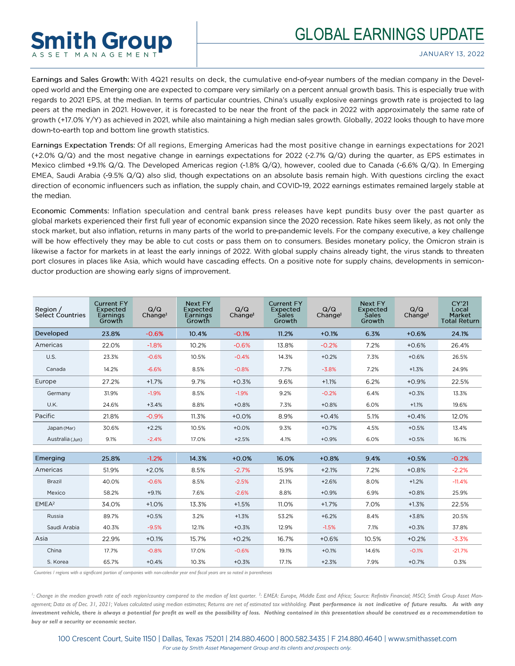## GLOBAL EARNINGS UPDATE



Earnings and Sales Growth: With 4Q21 results on deck, the cumulative end-of-year numbers of the median company in the Developed world and the Emerging one are expected to compare very similarly on a percent annual growth basis. This is especially true with regards to 2021 EPS, at the median. In terms of particular countries, China's usually explosive earnings growth rate is projected to lag peers at the median in 2021. However, it is forecasted to be near the front of the pack in 2022 with approximately the same rate of growth (+17.0% Y/Y) as achieved in 2021, while also maintaining a high median sales growth. Globally, 2022 looks though to have more down-to-earth top and bottom line growth statistics.

Earnings Expectation Trends: Of all regions, Emerging Americas had the most positive change in earnings expectations for 2021 (+2.0%  $Q/Q$ ) and the most negative change in earnings expectations for 2022 (-2.7%  $Q/Q$ ) during the quarter, as EPS estimates in Mexico climbed +9.1% Q/Q. The Developed Americas region (-1.8% Q/Q), however, cooled due to Canada (-6.6% Q/Q). In Emerging EMEA, Saudi Arabia (-9.5% Q/Q) also slid, though expectations on an absolute basis remain high. With questions circling the exact direction of economic influencers such as inflation, the supply chain, and COVID-19, 2022 earnings estimates remained largely stable at the median.

Economic Comments: Inflation speculation and central bank press releases have kept pundits busy over the past quarter as global markets experienced their first full year of economic expansion since the 2020 recession. Rate hikes seem likely, as not only the stock market, but also inflation, returns in many parts of the world to pre-pandemic levels. For the company executive, a key challenge will be how effectively they may be able to cut costs or pass them on to consumers. Besides monetary policy, the Omicron strain is likewise a factor for markets in at least the early innings of 2022. With global supply chains already tight, the virus stands to threaten port closures in places like Asia, which would have cascading effects. On a positive note for supply chains, developments in semiconductor production are showing early signs of improvement.

| Region /<br><b>Select Countries</b> | <b>Current FY</b><br>Expected<br>Earnings<br>Growth | Q/Q<br>Change <sup>1</sup> | Next FY<br>Expected<br>Earnings<br>Growth | Q/Q<br>Change <sup>1</sup> | <b>Current FY</b><br>Expected<br><b>Sales</b><br>Growth | Q/Q<br>Change <sup>1</sup> | Next FY<br>Expected<br><b>Sales</b><br>Growth | Q/Q<br>Change <sup>1</sup> | <b>CY'21</b><br>Local<br>Market<br><b>Total Return</b> |
|-------------------------------------|-----------------------------------------------------|----------------------------|-------------------------------------------|----------------------------|---------------------------------------------------------|----------------------------|-----------------------------------------------|----------------------------|--------------------------------------------------------|
| Developed                           | 23.8%                                               | $-0.6%$                    | 10.4%                                     | $-0.1%$                    | 11.2%                                                   | $+0.1%$                    | 6.3%                                          | $+0.6%$                    | 24.1%                                                  |
| Americas                            | 22.0%                                               | $-1.8%$                    | 10.2%                                     | $-0.6%$                    | 13.8%                                                   | $-0.2%$                    | 7.2%                                          | $+0.6%$                    | 26.4%                                                  |
| U.S.                                | 23.3%                                               | $-0.6%$                    | 10.5%                                     | $-0.4%$                    | 14.3%                                                   | $+0.2%$                    | 7.3%                                          | $+0.6%$                    | 26.5%                                                  |
| Canada                              | 14.2%                                               | $-6.6%$                    | 8.5%                                      | $-0.8%$                    | 7.7%                                                    | $-3.8%$                    | 7.2%                                          | $+1.3%$                    | 24.9%                                                  |
| Europe                              | 27.2%                                               | $+1.7%$                    | 9.7%                                      | $+0.3%$                    | 9.6%                                                    | $+1.1%$                    | 6.2%                                          | $+0.9%$                    | 22.5%                                                  |
| Germany                             | 31.9%                                               | $-1.9%$                    | 8.5%                                      | $-1.9%$                    | 9.2%                                                    | $-0.2%$                    | 6.4%                                          | $+0.3%$                    | 13.3%                                                  |
| U.K.                                | 24.6%                                               | $+3.4%$                    | 8.8%                                      | $+0.8%$                    | 7.3%                                                    | $+0.8%$                    | 6.0%                                          | $+1.1%$                    | 19.6%                                                  |
| Pacific                             | 21.8%                                               | $-0.9%$                    | 11.3%                                     | $+0.0%$                    | 8.9%                                                    | $+0.4%$                    | 5.1%                                          | $+0.4%$                    | 12.0%                                                  |
| Japan (Mar)                         | 30.6%                                               | $+2.2%$                    | 10.5%                                     | $+0.0%$                    | 9.3%                                                    | $+0.7%$                    | 4.5%                                          | $+0.5%$                    | 13.4%                                                  |
| Australia (Jun)                     | 9.1%                                                | $-2.4%$                    | 17.0%                                     | $+2.5%$                    | 4.1%                                                    | $+0.9%$                    | 6.0%                                          | $+0.5%$                    | 16.1%                                                  |
|                                     |                                                     |                            |                                           |                            |                                                         |                            |                                               |                            |                                                        |
| Emerging                            | 25.8%                                               | $-1.2%$                    | 14.3%                                     | $+0.0%$                    | 16.0%                                                   | $+0.8%$                    | 9.4%                                          | $+0.5%$                    | $-0.2%$                                                |
| Americas                            | 51.9%                                               | $+2.0%$                    | 8.5%                                      | $-2.7%$                    | 15.9%                                                   | $+2.1%$                    | 7.2%                                          | $+0.8%$                    | $-2.2%$                                                |
| <b>Brazil</b>                       | 40.0%                                               | $-0.6%$                    | 8.5%                                      | $-2.5%$                    | 21.1%                                                   | $+2.6%$                    | 8.0%                                          | $+1.2%$                    | $-11.4%$                                               |
| Mexico                              | 58.2%                                               | $+9.1%$                    | 7.6%                                      | $-2.6%$                    | 8.8%                                                    | $+0.9%$                    | 6.9%                                          | $+0.8%$                    | 25.9%                                                  |
| EMEA <sup>2</sup>                   | 34.0%                                               | $+1.0%$                    | 13.3%                                     | $+1.5%$                    | 11.0%                                                   | $+1.7%$                    | 7.0%                                          | $+1.3%$                    | 22.5%                                                  |
| Russia                              | 89.7%                                               | $+0.5%$                    | 3.2%                                      | $+1.3%$                    | 53.2%                                                   | $+6.2%$                    | 8.4%                                          | $+3.8%$                    | 20.5%                                                  |
| Saudi Arabia                        | 40.3%                                               | $-9.5%$                    | 12.1%                                     | $+0.3%$                    | 12.9%                                                   | $-1.5%$                    | 7.1%                                          | $+0.3%$                    | 37.8%                                                  |
| Asia                                | 22.9%                                               | $+0.1%$                    | 15.7%                                     | $+0.2%$                    | 16.7%                                                   | $+0.6%$                    | 10.5%                                         | $+0.2%$                    | $-3.3%$                                                |
| China                               | 17.7%                                               | $-0.8%$                    | 17.0%                                     | $-0.6%$                    | 19.1%                                                   | $+0.1%$                    | 14.6%                                         | $-0.1%$                    | $-21.7%$                                               |
| S. Korea                            | 65.7%                                               | $+0.4%$                    | 10.3%                                     | $+0.3%$                    | 17.1%                                                   | $+2.3%$                    | 7.9%                                          | $+0.7%$                    | 0.3%                                                   |

*Countries / regions with a significant portion of companies with non-calendar year end fiscal years are so noted in parentheses*

**Smith Group** ASSET MANAGEMEN

<sup>1</sup>: Change in the median growth rate of each region/country compared to the median of last quarter.<sup>2</sup>: EMEA: Europe, Middle East and Africa; Source: Refinitiv Financial; MSCI; Smith Group Asset Management; Data as of Dec. 31, 2021; Values calculated using median estimates; Returns are net of estimated tax withholding. Past performance is not indicative of future results. As with any *investment vehicle, there is always a potential for profit as well as the possibility of loss. Nothing contained in this presentation should be construed as a recommendation to buy or sell a security or economic sector.*